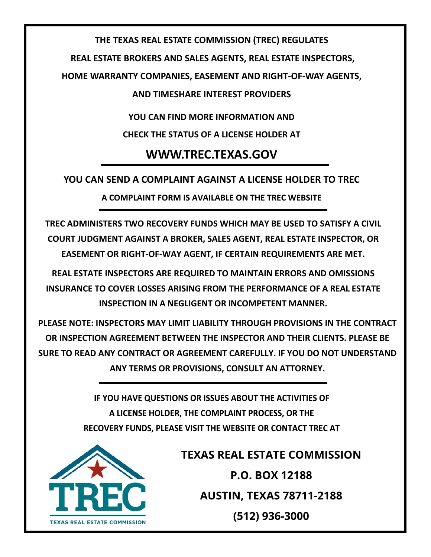### **THE TEXAS REAL ESTATE COMMISSION (TREC) REGULATES**

**REAL ESTATE BROKERS AND SALES AGENTS, REAL ESTATE INSPECTORS,** 

**HOME WARRANTY COMPANIES, EASEMENT AND RIGHT‐OF‐WAY AGENTS,**

**AND TIMESHARE INTEREST PROVIDERS**

**YOU CAN FIND MORE INFORMATION AND**

**CHECK THE STATUS OF A LICENSE HOLDER AT** 

# **WWW.TREC.TEXAS.GOV**

## **YOU CAN SEND A COMPLAINT AGAINST A LICENSE HOLDER TO TREC**

**A COMPLAINT FORM IS AVAILABLE ON THE TREC WEBSITE**

**TREC ADMINISTERS TWO RECOVERY FUNDS WHICH MAY BE USED TO SATISFY A CIVIL COURT JUDGMENT AGAINST A BROKER, SALES AGENT, REAL ESTATE INSPECTOR, OR EASEMENT OR RIGHT‐OF‐WAY AGENT, IF CERTAIN REQUIREMENTS ARE MET.**

**REAL ESTATE INSPECTORS ARE REQUIRED TO MAINTAIN ERRORS AND OMISSIONS INSURANCE TO COVER LOSSES ARISING FROM THE PERFORMANCE OF A REAL ESTATE INSPECTION IN A NEGLIGENT OR INCOMPETENT MANNER.**

**PLEASE NOTE: INSPECTORS MAY LIMIT LIABILITY THROUGH PROVISIONS IN THE CONTRACT OR INSPECTION AGREEMENT BETWEEN THE INSPECTOR AND THEIR CLIENTS. PLEASE BE SURE TO READ ANY CONTRACT OR AGREEMENT CAREFULLY. IF YOU DO NOT UNDERSTAND ANY TERMS OR PROVISIONS, CONSULT AN ATTORNEY.**

> IF YOU HAVE QUESTIONS OR ISSUES ABOUT THE ACTIVITIES OF A LICENSE HOLDER, THE COMPLAINT PROCESS, OR THE RECOVERY FUNDS, PLEASE VISIT THE WEBSITE OR CONTACT TREC AT



**TEXAS REAL ESTATE COMMISSION P.O. BOX 12188 AUSTIN, TEXAS 78711-2188 (512) 936-3000**